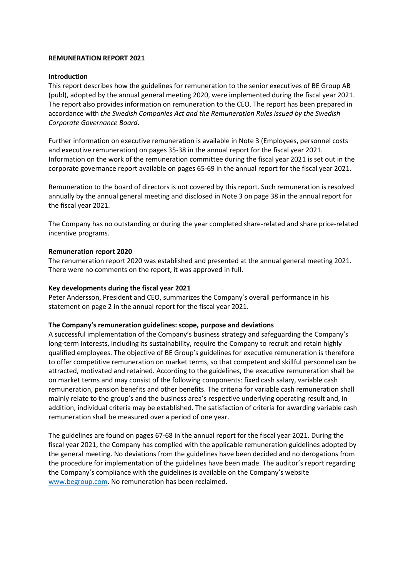## **REMUNERATION REPORT 2021**

### **Introduction**

This report describes how the guidelines for remuneration to the senior executives of BE Group AB (publ), adopted by the annual general meeting 2020, were implemented during the fiscal year 2021. The report also provides information on remuneration to the CEO. The report has been prepared in accordance with *the Swedish Companies Act and the Remuneration Rules issued by the Swedish Corporate Governance Board*.

Further information on executive remuneration is available in Note 3 (Employees, personnel costs and executive remuneration) on pages 35-38 in the annual report for the fiscal year 2021. Information on the work of the remuneration committee during the fiscal year 2021 is set out in the corporate governance report available on pages 65-69 in the annual report for the fiscal year 2021.

Remuneration to the board of directors is not covered by this report. Such remuneration is resolved annually by the annual general meeting and disclosed in Note 3 on page 38 in the annual report for the fiscal year 2021.

The Company has no outstanding or during the year completed share-related and share price-related incentive programs.

#### **Remuneration report 2020**

The renumeration report 2020 was established and presented at the annual general meeting 2021. There were no comments on the report, it was approved in full.

### **Key developments during the fiscal year 2021**

Peter Andersson, President and CEO, summarizes the Company's overall performance in his statement on page 2 in the annual report for the fiscal year 2021.

#### **The Company's remuneration guidelines: scope, purpose and deviations**

A successful implementation of the Company's business strategy and safeguarding the Company's long-term interests, including its sustainability, require the Company to recruit and retain highly qualified employees. The objective of BE Group's guidelines for executive remuneration is therefore to offer competitive remuneration on market terms, so that competent and skillful personnel can be attracted, motivated and retained. According to the guidelines, the executive remuneration shall be on market terms and may consist of the following components: fixed cash salary, variable cash remuneration, pension benefits and other benefits. The criteria for variable cash remuneration shall mainly relate to the group's and the business area's respective underlying operating result and, in addition, individual criteria may be established. The satisfaction of criteria for awarding variable cash remuneration shall be measured over a period of one year.

The guidelines are found on pages 67-68 in the annual report for the fiscal year 2021. During the fiscal year 2021, the Company has complied with the applicable remuneration guidelines adopted by the general meeting. No deviations from the guidelines have been decided and no derogations from the procedure for implementation of the guidelines have been made. The auditor's report regarding the Company's compliance with the guidelines is available on the Company's website [www.begroup.com.](http://www.begroup.com/) No remuneration has been reclaimed.